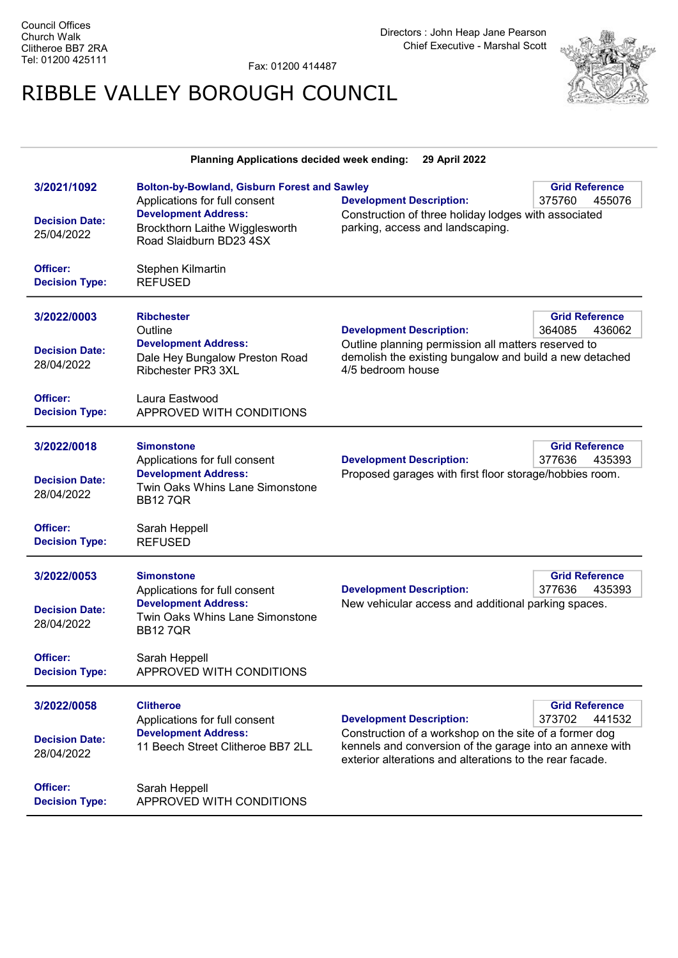Directors : John Heap Jane Pearson Chief Executive - Marshal Scott

Fax: 01200 414487

## RIBBLE VALLEY BOROUGH COUNCIL



| Planning Applications decided week ending:<br>29 April 2022 |                                                                                                   |                                                                                                                                                                                                                                       |                                           |  |  |
|-------------------------------------------------------------|---------------------------------------------------------------------------------------------------|---------------------------------------------------------------------------------------------------------------------------------------------------------------------------------------------------------------------------------------|-------------------------------------------|--|--|
| 3/2021/1092                                                 | <b>Bolton-by-Bowland, Gisburn Forest and Sawley</b><br>Applications for full consent              | <b>Development Description:</b>                                                                                                                                                                                                       | <b>Grid Reference</b><br>375760<br>455076 |  |  |
| <b>Decision Date:</b><br>25/04/2022                         | <b>Development Address:</b><br>Brockthorn Laithe Wigglesworth<br>Road Slaidburn BD23 4SX          | Construction of three holiday lodges with associated<br>parking, access and landscaping.                                                                                                                                              |                                           |  |  |
| Officer:<br><b>Decision Type:</b>                           | Stephen Kilmartin<br><b>REFUSED</b>                                                               |                                                                                                                                                                                                                                       |                                           |  |  |
| 3/2022/0003                                                 | <b>Ribchester</b><br>Outline                                                                      | <b>Development Description:</b>                                                                                                                                                                                                       | <b>Grid Reference</b><br>364085<br>436062 |  |  |
| <b>Decision Date:</b><br>28/04/2022                         | <b>Development Address:</b><br>Dale Hey Bungalow Preston Road<br><b>Ribchester PR3 3XL</b>        | Outline planning permission all matters reserved to<br>demolish the existing bungalow and build a new detached<br>4/5 bedroom house                                                                                                   |                                           |  |  |
| Officer:<br><b>Decision Type:</b>                           | Laura Eastwood<br>APPROVED WITH CONDITIONS                                                        |                                                                                                                                                                                                                                       |                                           |  |  |
| 3/2022/0018                                                 | <b>Simonstone</b><br>Applications for full consent                                                | <b>Development Description:</b>                                                                                                                                                                                                       | <b>Grid Reference</b><br>377636<br>435393 |  |  |
| <b>Decision Date:</b><br>28/04/2022                         | <b>Development Address:</b><br>Twin Oaks Whins Lane Simonstone<br><b>BB127QR</b>                  | Proposed garages with first floor storage/hobbies room.                                                                                                                                                                               |                                           |  |  |
| Officer:<br><b>Decision Type:</b>                           | Sarah Heppell<br><b>REFUSED</b>                                                                   |                                                                                                                                                                                                                                       |                                           |  |  |
| 3/2022/0053                                                 | <b>Simonstone</b><br>Applications for full consent                                                | <b>Development Description:</b>                                                                                                                                                                                                       | <b>Grid Reference</b><br>377636<br>435393 |  |  |
| <b>Decision Date:</b><br>28/04/2022                         | <b>Development Address:</b><br>Twin Oaks Whins Lane Simonstone<br><b>BB127QR</b>                  | New vehicular access and additional parking spaces.                                                                                                                                                                                   |                                           |  |  |
| Officer:<br><b>Decision Type:</b>                           | Sarah Heppell<br>APPROVED WITH CONDITIONS                                                         |                                                                                                                                                                                                                                       |                                           |  |  |
| 3/2022/0058                                                 | <b>Clitheroe</b>                                                                                  |                                                                                                                                                                                                                                       | <b>Grid Reference</b>                     |  |  |
| <b>Decision Date:</b><br>28/04/2022                         | Applications for full consent<br><b>Development Address:</b><br>11 Beech Street Clitheroe BB7 2LL | 373702<br><b>Development Description:</b><br>441532<br>Construction of a workshop on the site of a former dog<br>kennels and conversion of the garage into an annexe with<br>exterior alterations and alterations to the rear facade. |                                           |  |  |
| Officer:<br><b>Decision Type:</b>                           | Sarah Heppell<br>APPROVED WITH CONDITIONS                                                         |                                                                                                                                                                                                                                       |                                           |  |  |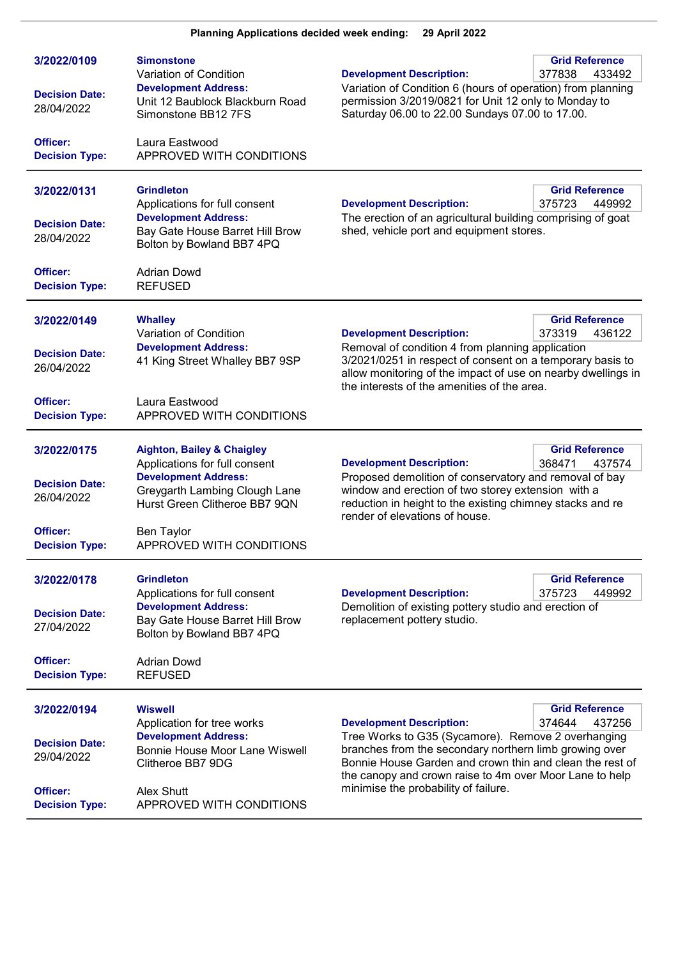| 3/2022/0109<br><b>Decision Date:</b><br>28/04/2022             | <b>Simonstone</b><br>Variation of Condition<br><b>Development Address:</b><br>Unit 12 Baublock Blackburn Road<br>Simonstone BB12 7FS                                                  | <b>Grid Reference</b><br><b>Development Description:</b><br>377838<br>433492<br>Variation of Condition 6 (hours of operation) from planning<br>permission 3/2019/0821 for Unit 12 only to Monday to<br>Saturday 06.00 to 22.00 Sundays 07.00 to 17.00.                                                       |  |
|----------------------------------------------------------------|---------------------------------------------------------------------------------------------------------------------------------------------------------------------------------------|--------------------------------------------------------------------------------------------------------------------------------------------------------------------------------------------------------------------------------------------------------------------------------------------------------------|--|
| Officer:<br><b>Decision Type:</b>                              | Laura Eastwood<br>APPROVED WITH CONDITIONS                                                                                                                                            |                                                                                                                                                                                                                                                                                                              |  |
| 3/2022/0131<br><b>Decision Date:</b><br>28/04/2022             | <b>Grindleton</b><br>Applications for full consent<br><b>Development Address:</b><br>Bay Gate House Barret Hill Brow<br>Bolton by Bowland BB7 4PQ                                     | <b>Grid Reference</b><br><b>Development Description:</b><br>375723<br>449992<br>The erection of an agricultural building comprising of goat<br>shed, vehicle port and equipment stores.                                                                                                                      |  |
| Officer:<br><b>Decision Type:</b>                              | <b>Adrian Dowd</b><br><b>REFUSED</b>                                                                                                                                                  |                                                                                                                                                                                                                                                                                                              |  |
| 3/2022/0149<br><b>Decision Date:</b><br>26/04/2022             | <b>Whalley</b><br>Variation of Condition<br><b>Development Address:</b><br>41 King Street Whalley BB7 9SP                                                                             | <b>Grid Reference</b><br><b>Development Description:</b><br>373319<br>436122<br>Removal of condition 4 from planning application<br>3/2021/0251 in respect of consent on a temporary basis to<br>allow monitoring of the impact of use on nearby dwellings in<br>the interests of the amenities of the area. |  |
| Officer:<br><b>Decision Type:</b>                              | Laura Eastwood<br>APPROVED WITH CONDITIONS                                                                                                                                            |                                                                                                                                                                                                                                                                                                              |  |
| 3/2022/0175<br><b>Decision Date:</b><br>26/04/2022<br>Officer: | <b>Aighton, Bailey &amp; Chaigley</b><br>Applications for full consent<br><b>Development Address:</b><br>Greygarth Lambing Clough Lane<br>Hurst Green Clitheroe BB7 9QN<br>Ben Taylor | <b>Grid Reference</b><br>368471<br><b>Development Description:</b><br>437574<br>Proposed demolition of conservatory and removal of bay<br>window and erection of two storey extension with a<br>reduction in height to the existing chimney stacks and re<br>render of elevations of house.                  |  |
| <b>Decision Type:</b>                                          | APPROVED WITH CONDITIONS                                                                                                                                                              |                                                                                                                                                                                                                                                                                                              |  |
| 3/2022/0178<br><b>Decision Date:</b><br>27/04/2022             | <b>Grindleton</b><br>Applications for full consent<br><b>Development Address:</b><br>Bay Gate House Barret Hill Brow<br>Bolton by Bowland BB7 4PQ                                     | <b>Grid Reference</b><br>375723<br>449992<br><b>Development Description:</b><br>Demolition of existing pottery studio and erection of<br>replacement pottery studio.                                                                                                                                         |  |
| Officer:<br><b>Decision Type:</b>                              | <b>Adrian Dowd</b><br><b>REFUSED</b>                                                                                                                                                  |                                                                                                                                                                                                                                                                                                              |  |
| 3/2022/0194                                                    | <b>Wiswell</b><br>Application for tree works                                                                                                                                          | <b>Grid Reference</b><br>374644<br>437256<br><b>Development Description:</b>                                                                                                                                                                                                                                 |  |
| <b>Decision Date:</b><br>29/04/2022                            | <b>Development Address:</b><br>Bonnie House Moor Lane Wiswell<br>Clitheroe BB7 9DG                                                                                                    | Tree Works to G35 (Sycamore). Remove 2 overhanging<br>branches from the secondary northern limb growing over<br>Bonnie House Garden and crown thin and clean the rest of<br>the canopy and crown raise to 4m over Moor Lane to help                                                                          |  |
| Officer:<br><b>Decision Type:</b>                              | Alex Shutt<br>APPROVED WITH CONDITIONS                                                                                                                                                | minimise the probability of failure.                                                                                                                                                                                                                                                                         |  |